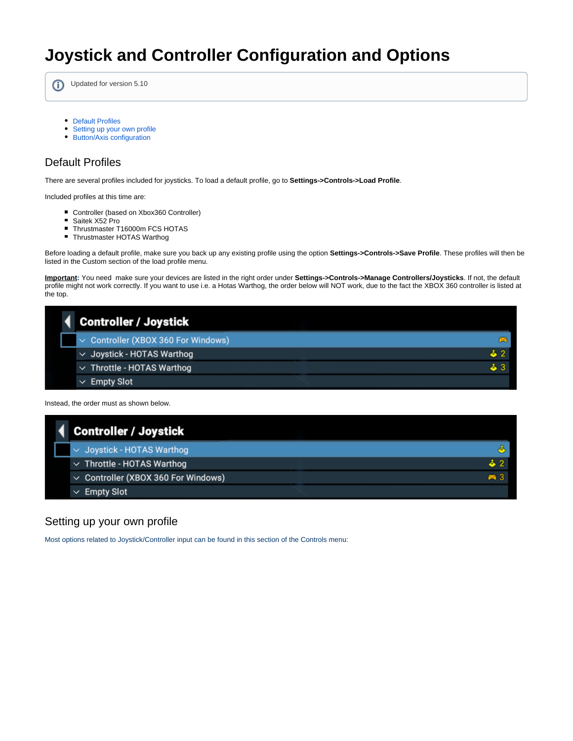# **Joystick and Controller Configuration and Options**

⋒ Updated for version 5.10

- [Default Profiles](#page-0-0)
- [Setting up your own profile](#page-0-1)
- [Button/Axis configuration](#page-1-0)

## <span id="page-0-0"></span>Default Profiles

There are several profiles included for joysticks. To load a default profile, go to **Settings->Controls->Load Profile**.

Included profiles at this time are:

- Controller (based on Xbox360 Controller)
- Saitek X52 Pro
- Thrustmaster T16000m FCS HOTAS
- Thrustmaster HOTAS Warthog

Before loading a default profile, make sure you back up any existing profile using the option **Settings->Controls->Save Profile**. These profiles will then be listed in the Custom section of the load profile menu.

**Important:** You need make sure your devices are listed in the right order under **Settings->Controls->Manage Controllers/Joysticks**. If not, the default profile might not work correctly. If you want to use i.e. a Hotas Warthog, the order below will NOT work, due to the fact the XBOX 360 controller is listed at the top.

|  | <b>Controller / Joystick</b>             |     |
|--|------------------------------------------|-----|
|  | $\sim$ Controller (XBOX 360 For Windows) |     |
|  | $\vee$ Joystick - HOTAS Warthog          | ፊ 2 |
|  | $\vee$ Throttle - HOTAS Warthog          | ፊ 3 |
|  | $\vee$ Empty Slot                        |     |

Instead, the order must as shown below.

| 4 Controller / Joystick                  |            |
|------------------------------------------|------------|
| $\sim$ Joystick - HOTAS Warthog          |            |
| $\vee$ Throttle - HOTAS Warthog          |            |
| $\vee$ Controller (XBOX 360 For Windows) | <b>m</b> 3 |
| $\vee$ Empty Slot                        |            |

### <span id="page-0-1"></span>Setting up your own profile

Most options related to Joystick/Controller input can be found in this section of the Controls menu: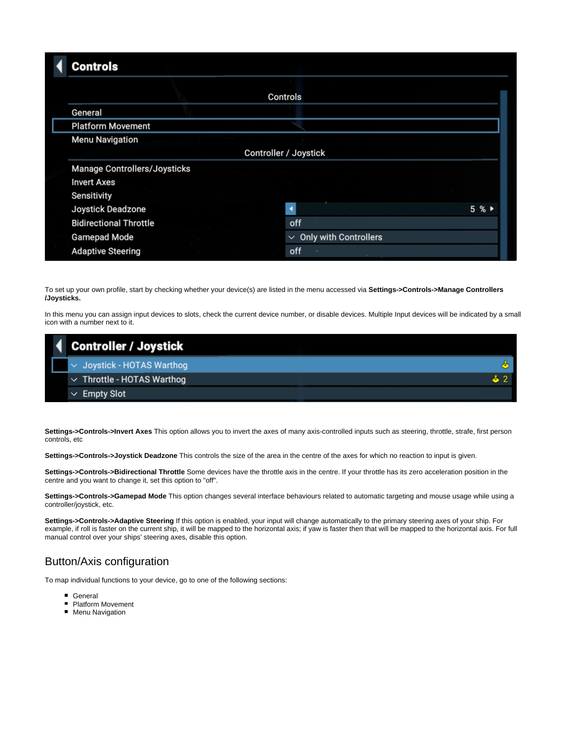#### **Controls Controls** General **Platform Movement Menu Navigation Controller / Joystick Manage Controllers/Joysticks Invert Axes** Sensitivity Joystick Deadzone  $5%$ **Bidirectional Throttle** off  $\vee$  Only with Controllers **Gamepad Mode Adaptive Steering** off

To set up your own profile, start by checking whether your device(s) are listed in the menu accessed via **Settings->Controls->Manage Controllers /Joysticks.**

In this menu you can assign input devices to slots, check the current device number, or disable devices. Multiple Input devices will be indicated by a small icon with a number next to it.

| Controller / Joystick           |  |
|---------------------------------|--|
| $\sim$ Joystick - HOTAS Warthog |  |
| $\vee$ Throttle - HOTAS Warthog |  |
| $\vee$ Empty Slot               |  |

Settings->Controls->Invert Axes This option allows you to invert the axes of many axis-controlled inputs such as steering, throttle, strafe, first person controls, etc

**Settings->Controls->Joystick Deadzone** This controls the size of the area in the centre of the axes for which no reaction to input is given.

**Settings->Controls->Bidirectional Throttle** Some devices have the throttle axis in the centre. If your throttle has its zero acceleration position in the centre and you want to change it, set this option to "off".

**Settings->Controls->Gamepad Mode** This option changes several interface behaviours related to automatic targeting and mouse usage while using a controller/joystick, etc.

**Settings->Controls->Adaptive Steering** If this option is enabled, your input will change automatically to the primary steering axes of your ship. For example, if roll is faster on the current ship, it will be mapped to the horizontal axis; if yaw is faster then that will be mapped to the horizontal axis. For full manual control over your ships' steering axes, disable this option.

#### <span id="page-1-0"></span>Button/Axis configuration

To map individual functions to your device, go to one of the following sections:

- General
- **Platform Movement**
- **Menu Navigation**